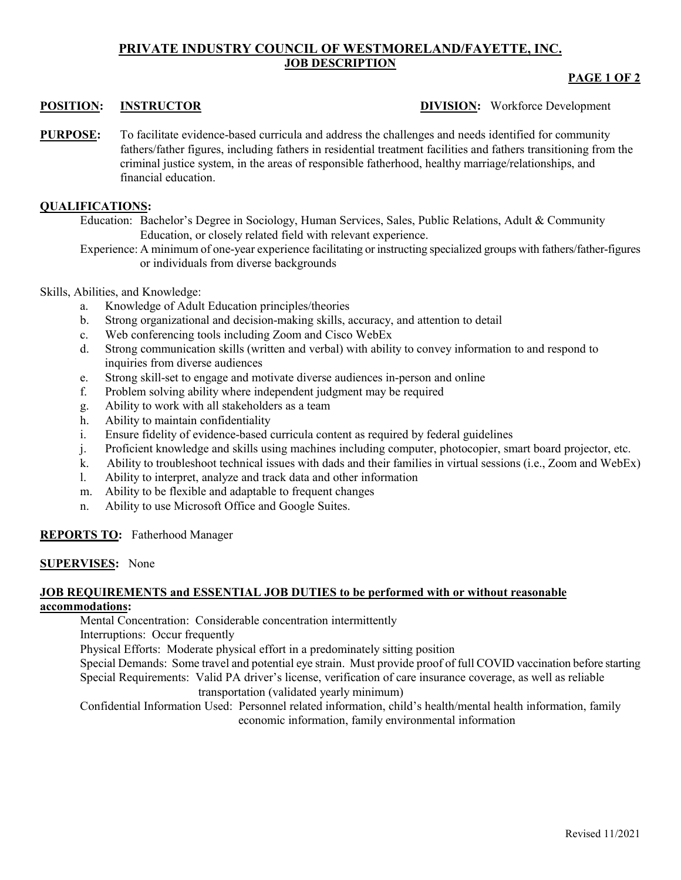# **PRIVATE INDUSTRY COUNCIL OF WESTMORELAND/FAYETTE, INC. JOB DESCRIPTION**

## **PAGE 1 OF 2**

### **POSITION: INSTRUCTOR DIVISION:** Workforce Development

**PURPOSE:** To facilitate evidence-based curricula and address the challenges and needs identified for community fathers/father figures, including fathers in residential treatment facilities and fathers transitioning from the criminal justice system, in the areas of responsible fatherhood, healthy marriage/relationships, and financial education.

### **QUALIFICATIONS:**

Education: Bachelor's Degree in Sociology, Human Services, Sales, Public Relations, Adult & Community Education, or closely related field with relevant experience.

Experience: A minimum of one-year experience facilitating or instructing specialized groups with fathers/father-figures or individuals from diverse backgrounds

#### Skills, Abilities, and Knowledge:

- a. Knowledge of Adult Education principles/theories
- b. Strong organizational and decision-making skills, accuracy, and attention to detail
- c. Web conferencing tools including Zoom and Cisco WebEx
- d. Strong communication skills (written and verbal) with ability to convey information to and respond to inquiries from diverse audiences
- e. Strong skill-set to engage and motivate diverse audiences in-person and online
- f. Problem solving ability where independent judgment may be required
- g. Ability to work with all stakeholders as a team
- h. Ability to maintain confidentiality
- i. Ensure fidelity of evidence-based curricula content as required by federal guidelines
- j. Proficient knowledge and skills using machines including computer, photocopier, smart board projector, etc.
- k. Ability to troubleshoot technical issues with dads and their families in virtual sessions (i.e., Zoom and WebEx)
- l. Ability to interpret, analyze and track data and other information
- m. Ability to be flexible and adaptable to frequent changes
- n. Ability to use Microsoft Office and Google Suites.

### **REPORTS TO:** Fatherhood Manager

#### **SUPERVISES:** None

### **JOB REQUIREMENTS and ESSENTIAL JOB DUTIES to be performed with or without reasonable accommodations:**

Mental Concentration: Considerable concentration intermittently

Interruptions: Occur frequently

Physical Efforts: Moderate physical effort in a predominately sitting position

Special Demands: Some travel and potential eye strain. Must provide proof of full COVID vaccination before starting Special Requirements: Valid PA driver's license, verification of care insurance coverage, as well as reliable

transportation (validated yearly minimum)

Confidential Information Used: Personnel related information, child's health/mental health information, family economic information, family environmental information